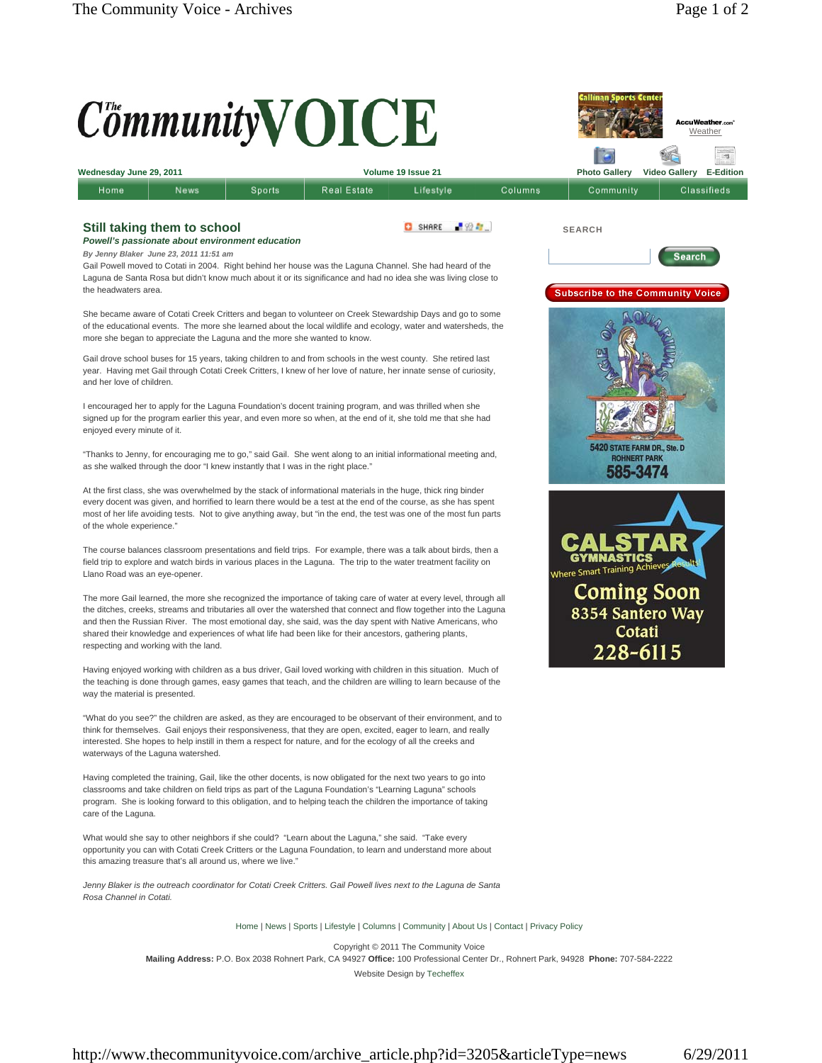## $C^{\mathit{t}}$ mmunity $\mathbf{V}$ **OICE** cuWeather.com **Weather** ÷, **Wednesday June 29, 2011 Volume 19 Issue 21 Photo Gallery Video Gallery E-Edition** Sports Real Estate Lifestyle Columns Community Classifieds Home News **Still taking them to school** SHARE FOR **SEARCH** *Powell's passionate about environment education By Jenny Blaker June 23, 2011 11:51 am* Search Gail Powell moved to Cotati in 2004. Right behind her house was the Laguna Channel. She had heard of the Laguna de Santa Rosa but didn't know much about it or its significance and had no idea she was living close to the headwaters area **Subscribe to the Community Voice** She became aware of Cotati Creek Critters and began to volunteer on Creek Stewardship Days and go to some of the educational events. The more she learned about the local wildlife and ecology, water and watersheds, the more she began to appreciate the Laguna and the more she wanted to know. Gail drove school buses for 15 years, taking children to and from schools in the west county. She retired last year. Having met Gail through Cotati Creek Critters, I knew of her love of nature, her innate sense of curiosity, and her love of children. I encouraged her to apply for the Laguna Foundation's docent training program, and was thrilled when she signed up for the program earlier this year, and even more so when, at the end of it, she told me that she had enjoyed every minute of it. **STATE FARM DR., Ste. D** "Thanks to Jenny, for encouraging me to go," said Gail. She went along to an initial informational meeting and, **NERT PARI** as she walked through the door "I knew instantly that I was in the right place." 585-3474 At the first class, she was overwhelmed by the stack of informational materials in the huge, thick ring binder every docent was given, and horrified to learn there would be a test at the end of the course, as she has spent most of her life avoiding tests. Not to give anything away, but "in the end, the test was one of the most fun parts of the whole experience." The course balances classroom presentations and field trips. For example, there was a talk about birds, then a field trip to explore and watch birds in various places in the Laguna. The trip to the water treatment facility on Where Smart Training Achieve Llano Road was an eye-opener. **Coming Soon** The more Gail learned, the more she recognized the importance of taking care of water at every level, through all the ditches, creeks, streams and tributaries all over the watershed that connect and flow together into the Laguna 8354 Santero Way and then the Russian River. The most emotional day, she said, was the day spent with Native Americans, who Cotati shared their knowledge and experiences of what life had been like for their ancestors, gathering plants, respecting and working with the land. 228-6115 Having enjoyed working with children as a bus driver, Gail loved working with children in this situation. Much of the teaching is done through games, easy games that teach, and the children are willing to learn because of the way the material is presented. "What do you see?" the children are asked, as they are encouraged to be observant of their environment, and to think for themselves. Gail enjoys their responsiveness, that they are open, excited, eager to learn, and really interested. She hopes to help instill in them a respect for nature, and for the ecology of all the creeks and waterways of the Laguna watershed.

Having completed the training, Gail, like the other docents, is now obligated for the next two years to go into classrooms and take children on field trips as part of the Laguna Foundation's "Learning Laguna" schools program. She is looking forward to this obligation, and to helping teach the children the importance of taking care of the Laguna.

What would she say to other neighbors if she could? "Learn about the Laguna," she said. "Take every opportunity you can with Cotati Creek Critters or the Laguna Foundation, to learn and understand more about this amazing treasure that's all around us, where we live."

Jenny Blaker is the outreach coordinator for Cotati Creek Critters. Gail Powell lives next to the Laguna de Santa *Rosa Channel in Cotati.* 

Home | News | Sports | Lifestyle | Columns | Community | About Us | Contact | Privacy Policy

Copyright © 2011 The Community Voice **Mailing Address:** P.O. Box 2038 Rohnert Park, CA 94927 **Office:** 100 Professional Center Dr., Rohnert Park, 94928 **Phone:** 707-584-2222 Website Design by Techeffex